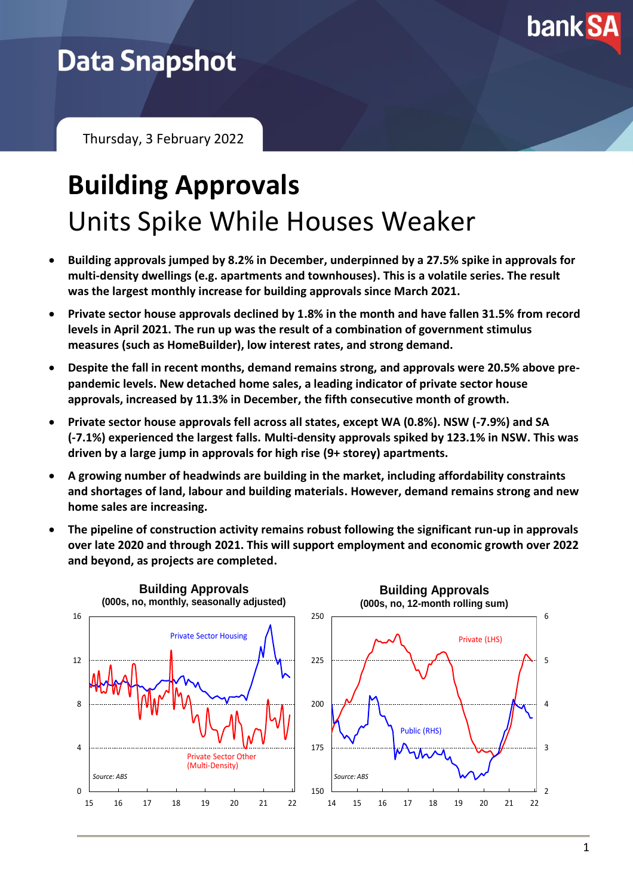

# **Data Snapshot**

Thursday, 3 February 2022

# **Building Approvals** Units Spike While Houses Weaker

- **Building approvals jumped by 8.2% in December, underpinned by a 27.5% spike in approvals for multi-density dwellings (e.g. apartments and townhouses). This is a volatile series. The result was the largest monthly increase for building approvals since March 2021.**
- **Private sector house approvals declined by 1.8% in the month and have fallen 31.5% from record levels in April 2021. The run up was the result of a combination of government stimulus measures (such as HomeBuilder), low interest rates, and strong demand.**
- **Despite the fall in recent months, demand remains strong, and approvals were 20.5% above prepandemic levels. New detached home sales, a leading indicator of private sector house approvals, increased by 11.3% in December, the fifth consecutive month of growth.**
- **Private sector house approvals fell across all states, except WA (0.8%). NSW (-7.9%) and SA (-7.1%) experienced the largest falls. Multi-density approvals spiked by 123.1% in NSW. This was driven by a large jump in approvals for high rise (9+ storey) apartments.**
- **A growing number of headwinds are building in the market, including affordability constraints and shortages of land, labour and building materials. However, demand remains strong and new home sales are increasing.**
- **The pipeline of construction activity remains robust following the significant run-up in approvals over late 2020 and through 2021. This will support employment and economic growth over 2022 and beyond, as projects are completed.**

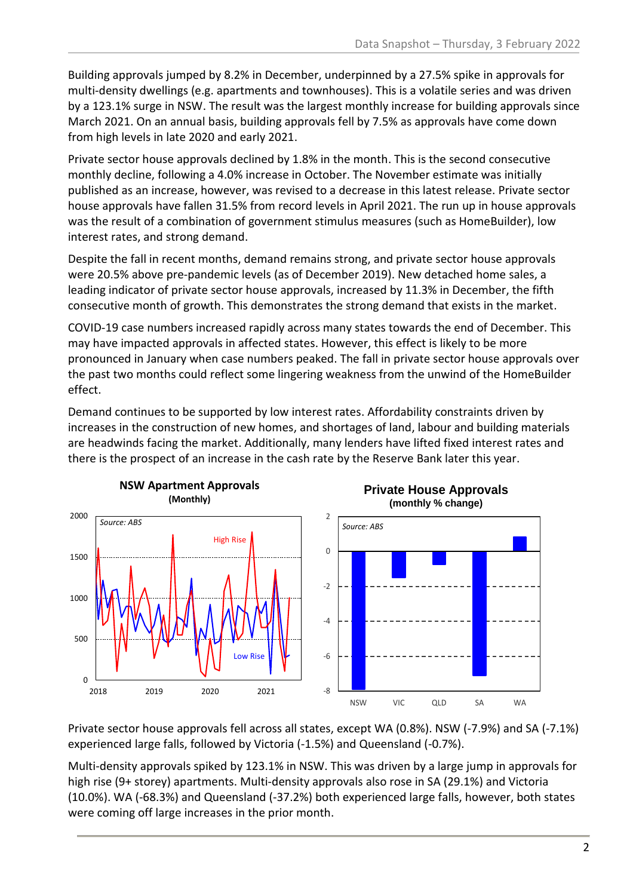Building approvals jumped by 8.2% in December, underpinned by a 27.5% spike in approvals for multi-density dwellings (e.g. apartments and townhouses). This is a volatile series and was driven by a 123.1% surge in NSW. The result was the largest monthly increase for building approvals since March 2021. On an annual basis, building approvals fell by 7.5% as approvals have come down from high levels in late 2020 and early 2021.

Private sector house approvals declined by 1.8% in the month. This is the second consecutive monthly decline, following a 4.0% increase in October. The November estimate was initially published as an increase, however, was revised to a decrease in this latest release. Private sector house approvals have fallen 31.5% from record levels in April 2021. The run up in house approvals was the result of a combination of government stimulus measures (such as HomeBuilder), low interest rates, and strong demand.

Despite the fall in recent months, demand remains strong, and private sector house approvals were 20.5% above pre-pandemic levels (as of December 2019). New detached home sales, a leading indicator of private sector house approvals, increased by 11.3% in December, the fifth consecutive month of growth. This demonstrates the strong demand that exists in the market.

COVID-19 case numbers increased rapidly across many states towards the end of December. This may have impacted approvals in affected states. However, this effect is likely to be more pronounced in January when case numbers peaked. The fall in private sector house approvals over the past two months could reflect some lingering weakness from the unwind of the HomeBuilder effect.

Demand continues to be supported by low interest rates. Affordability constraints driven by increases in the construction of new homes, and shortages of land, labour and building materials are headwinds facing the market. Additionally, many lenders have lifted fixed interest rates and there is the prospect of an increase in the cash rate by the Reserve Bank later this year.



Private sector house approvals fell across all states, except WA (0.8%). NSW (-7.9%) and SA (-7.1%) experienced large falls, followed by Victoria (-1.5%) and Queensland (-0.7%).

Multi-density approvals spiked by 123.1% in NSW. This was driven by a large jump in approvals for high rise (9+ storey) apartments. Multi-density approvals also rose in SA (29.1%) and Victoria (10.0%). WA (-68.3%) and Queensland (-37.2%) both experienced large falls, however, both states were coming off large increases in the prior month.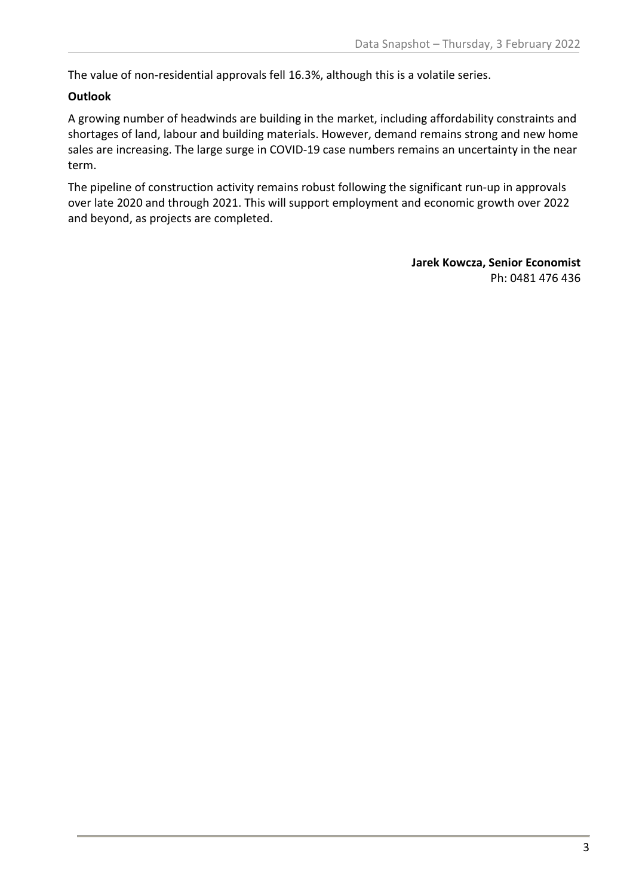The value of non-residential approvals fell 16.3%, although this is a volatile series.

## **Outlook**

A growing number of headwinds are building in the market, including affordability constraints and shortages of land, labour and building materials. However, demand remains strong and new home sales are increasing. The large surge in COVID-19 case numbers remains an uncertainty in the near term.

The pipeline of construction activity remains robust following the significant run-up in approvals over late 2020 and through 2021. This will support employment and economic growth over 2022 and beyond, as projects are completed.

> **Jarek Kowcza, Senior Economist** Ph: 0481 476 436